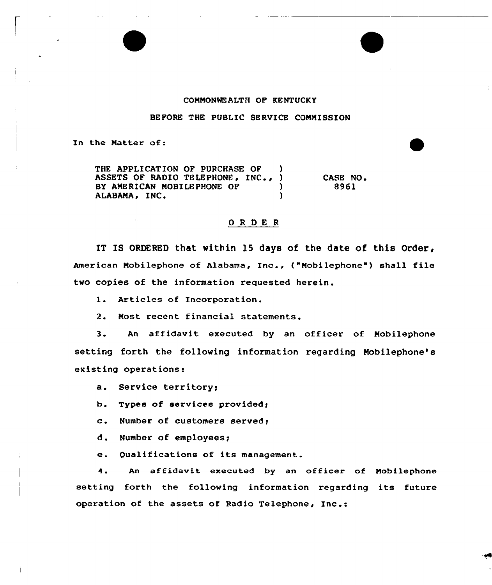## CONNONMEALTH OF KENTUCKY

BEFORE THE PUBLIC SERVICE COMNISSION

In the Natter of:

THE APPLICATION OF PURCHASE OF ASSETS OF RADIO TELEPHONE, INC., )<br>BY AMERICAN MOBILEPHONE OF (1) BY AMERICAN MOBILEPHONE OF  $)$ <br>ALABAMA, INC. ALABAMA, INC. CASE NO <sup>~</sup> 8961

## ORDER

IT IS ORDERED that within 15 days of the date of this Order, American Nobilephone of Alabama, Inc., {"Mobilephone") shall file two copies of the information requested herein.

l. Articles of Incorporation.

2. Nost recent financial statements.

3. An affidavit executed by an officer of Nobilephone setting forth the following information regarding Nobilephone's existing operations:

a. Service territory;

b. Types of services provided;

c. Number of customers served;

d. Number of employees;

e. Qualifications of its management.

4. An affidavit executed by an officer of Nobilephone setting forth the following information regarding its future operation of the assets of Radio Telephone, Inc.: